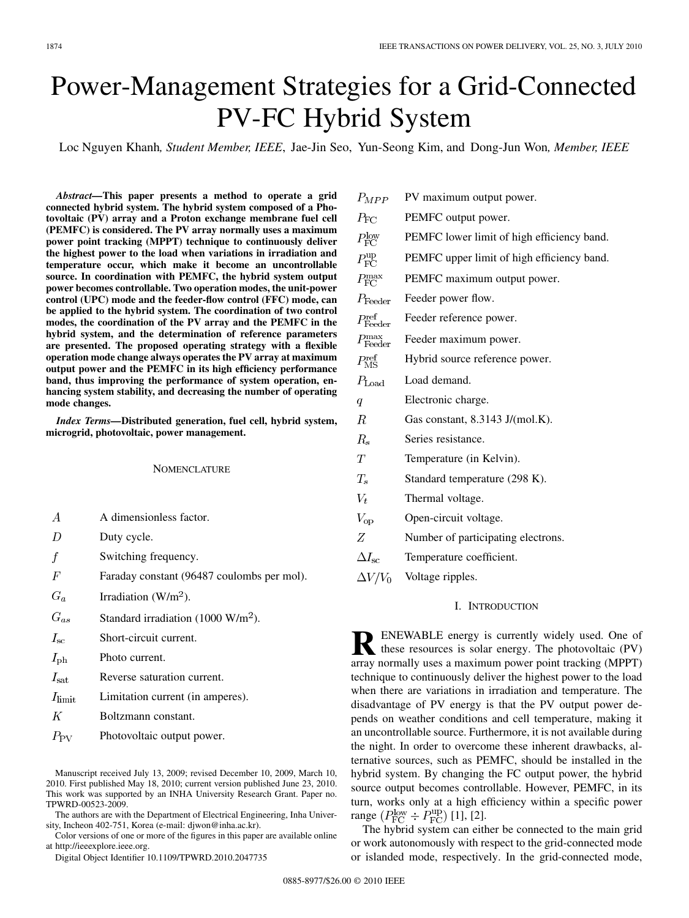# Power-Management Strategies for a Grid-Connected PV-FC Hybrid System

Loc Nguyen Khanh*, Student Member, IEEE*, Jae-Jin Seo, Yun-Seong Kim, and Dong-Jun Won*, Member, IEEE*

*Abstract—***This paper presents a method to operate a grid connected hybrid system. The hybrid system composed of a Photovoltaic (PV) array and a Proton exchange membrane fuel cell (PEMFC) is considered. The PV array normally uses a maximum power point tracking (MPPT) technique to continuously deliver the highest power to the load when variations in irradiation and temperature occur, which make it become an uncontrollable source. In coordination with PEMFC, the hybrid system output power becomes controllable. Two operation modes, the unit-power control (UPC) mode and the feeder-flow control (FFC) mode, can be applied to the hybrid system. The coordination of two control modes, the coordination of the PV array and the PEMFC in the hybrid system, and the determination of reference parameters are presented. The proposed operating strategy with a flexible operation mode change always operates the PV array at maximum output power and the PEMFC in its high efficiency performance band, thus improving the performance of system operation, enhancing system stability, and decreasing the number of operating mode changes.**

*Index Terms—***Distributed generation, fuel cell, hybrid system, microgrid, photovoltaic, power management.**

#### **NOMENCLATURE**

- $\boldsymbol{A}$ A dimensionless factor.
- $\overline{D}$ Duty cycle.
- Switching frequency. f
- $\overline{F}$ Faraday constant (96487 coulombs per mol).
- $G_a$ Irradiation  $(W/m<sup>2</sup>)$ .
- $G_{as}$ Standard irradiation (1000 W/m<sup>2</sup>).
- $I_{\rm sc}$ Short-circuit current.
- Photo current.  $I_{\mathrm{ph}}$
- $I_{\rm sat}$ Reverse saturation current.
- $I_{\text{limit}}$ Limitation current (in amperes).
- $K$ Boltzmann constant.
- $P_{\rm PV}$ Photovoltaic output power.

The authors are with the Department of Electrical Engineering, Inha University, Incheon 402-751, Korea (e-mail: djwon@inha.ac.kr).

- $P_{MPP}$ PV maximum output power.  $P_{\rm FC}$ PEMFC output power.  $P_{\text{FC}}^{\text{low}}$ PEMFC lower limit of high efficiency band.  $P_{\rm FC}^{\rm up}$ PEMFC upper limit of high efficiency band.  $P_{\text{FC}}^{\text{max}}$ PEMFC maximum output power.  $P_{\text{Feeder}}$ Feeder power flow.  $P_{\rm Feeder}^{\rm ref}$ Feeder reference power.  $P_{\rm Feeder}^{\rm max}$ Feeder maximum power.  $P_{\rm MS}^{\rm ref}$ Hybrid source reference power.  $P_{\text{Load}}$ Load demand.  $\overline{q}$ Electronic charge.  $\boldsymbol{R}$ Gas constant, 8.3143 J/(mol.K).  $R_s$ Series resistance.  $T$ Temperature (in Kelvin).  $T_s$ Standard temperature (298 K).  $V_t$ Thermal voltage.  $V_{op}$ Open-circuit voltage.  $Z$ Number of participating electrons.  $\Delta I_{sc}$ Temperature coefficient.
- $\Delta V/V_0$ Voltage ripples.

## I. INTRODUCTION

**RENEWABLE energy is currently widely used. One of** these resources is solar energy. The photovoltaic (PV) array normally uses a maximum power point tracking (MPPT) technique to continuously deliver the highest power to the load when there are variations in irradiation and temperature. The disadvantage of PV energy is that the PV output power depends on weather conditions and cell temperature, making it an uncontrollable source. Furthermore, it is not available during the night. In order to overcome these inherent drawbacks, alternative sources, such as PEMFC, should be installed in the hybrid system. By changing the FC output power, the hybrid source output becomes controllable. However, PEMFC, in its turn, works only at a high efficiency within a specific power range  $(P_{\text{FC}}^{\text{low}} \div P_{\text{FC}}^{\text{up}})$  [1], [2].

The hybrid system can either be connected to the main grid or work autonomously with respect to the grid-connected mode or islanded mode, respectively. In the grid-connected mode,

Manuscript received July 13, 2009; revised December 10, 2009, March 10, 2010. First published May 18, 2010; current version published June 23, 2010. This work was supported by an INHA University Research Grant. Paper no. TPWRD-00523-2009.

Color versions of one or more of the figures in this paper are available online at http://ieeexplore.ieee.org.

Digital Object Identifier 10.1109/TPWRD.2010.2047735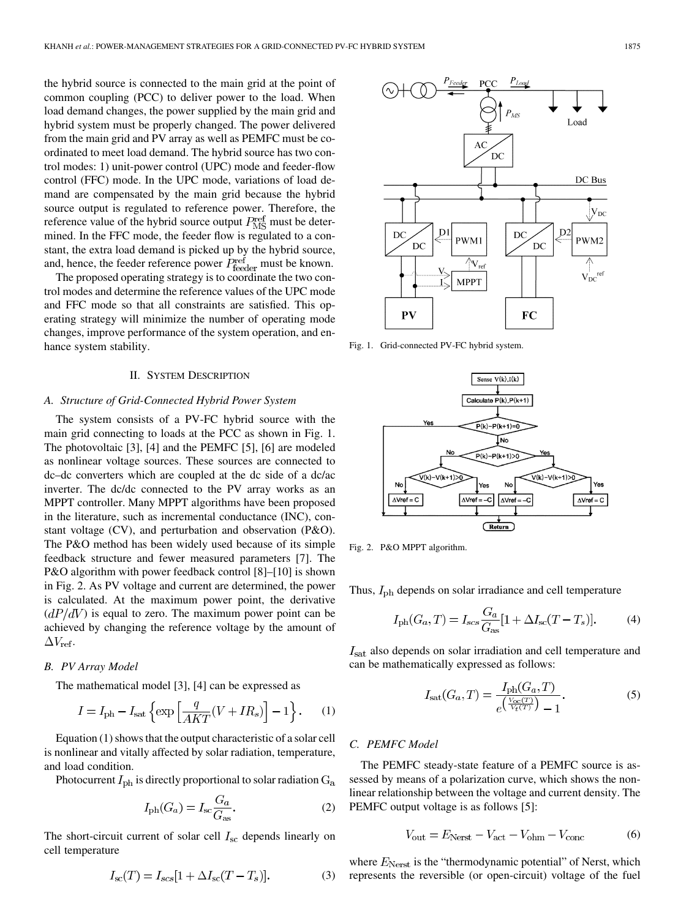the hybrid source is connected to the main grid at the point of common coupling (PCC) to deliver power to the load. When load demand changes, the power supplied by the main grid and hybrid system must be properly changed. The power delivered from the main grid and PV array as well as PEMFC must be coordinated to meet load demand. The hybrid source has two control modes: 1) unit-power control (UPC) mode and feeder-flow control (FFC) mode. In the UPC mode, variations of load demand are compensated by the main grid because the hybrid source output is regulated to reference power. Therefore, the reference value of the hybrid source output  $P_{\text{MS}}^{\text{ref}}$  must be determined. In the FFC mode, the feeder flow is regulated to a constant, the extra load demand is picked up by the hybrid source, and, hence, the feeder reference power  $P_{\text{feeder}}^{\text{ref}}$  must be known.

The proposed operating strategy is to coordinate the two control modes and determine the reference values of the UPC mode and FFC mode so that all constraints are satisfied. This operating strategy will minimize the number of operating mode changes, improve performance of the system operation, and enhance system stability.

#### II. SYSTEM DESCRIPTION

#### *A. Structure of Grid-Connected Hybrid Power System*

The system consists of a PV-FC hybrid source with the main grid connecting to loads at the PCC as shown in Fig. 1. The photovoltaic [3], [4] and the PEMFC [5], [6] are modeled as nonlinear voltage sources. These sources are connected to dc–dc converters which are coupled at the dc side of a dc/ac inverter. The dc/dc connected to the PV array works as an MPPT controller. Many MPPT algorithms have been proposed in the literature, such as incremental conductance (INC), constant voltage (CV), and perturbation and observation (P&O). The P&O method has been widely used because of its simple feedback structure and fewer measured parameters [7]. The P&O algorithm with power feedback control [8]–[10] is shown in Fig. 2. As PV voltage and current are determined, the power is calculated. At the maximum power point, the derivative  $\left( dP/dV \right)$  is equal to zero. The maximum power point can be achieved by changing the reference voltage by the amount of  $\Delta V_{\rm ref}.$ 

#### *B. PV Array Model*

The mathematical model [3], [4] can be expressed as

$$
I = I_{\text{ph}} - I_{\text{sat}} \left\{ \exp \left[ \frac{q}{AKT} (V + IR_s) \right] - 1 \right\}.
$$
 (1)

Equation (1) shows that the output characteristic of a solar cell is nonlinear and vitally affected by solar radiation, temperature, and load condition.

Photocurrent  $I_{\rm ph}$  is directly proportional to solar radiation  $G_{\rm a}$ 

$$
I_{\rm ph}(G_a) = I_{\rm sc} \frac{G_a}{G_{\rm as}}.\tag{2}
$$

The short-circuit current of solar cell  $I_{\rm sc}$  depends linearly on cell temperature

$$
I_{\rm sc}(T) = I_{\rm scs}[1 + \Delta I_{\rm sc}(T - T_s)].\tag{3}
$$



Fig. 1. Grid-connected PV-FC hybrid system.



Fig. 2. P&O MPPT algorithm.

Thus,  $I_{\text{ph}}$  depends on solar irradiance and cell temperature

$$
I_{\rm ph}(G_a, T) = I_{scs} \frac{G_a}{G_{\rm as}} [1 + \Delta I_{\rm sc}(T - T_s)]. \tag{4}
$$

 $I<sub>sat</sub>$  also depends on solar irradiation and cell temperature and can be mathematically expressed as follows:

$$
I_{\rm sat}(G_a, T) = \frac{I_{\rm ph}(G_a, T)}{e^{\left(\frac{V_{\rm oc}(T)}{V_t(T)}\right)} - 1}.
$$
 (5)

### *C. PEMFC Model*

The PEMFC steady-state feature of a PEMFC source is assessed by means of a polarization curve, which shows the nonlinear relationship between the voltage and current density. The PEMFC output voltage is as follows [5]:

$$
V_{\text{out}} = E_{\text{Nerst}} - V_{\text{act}} - V_{\text{ohm}} - V_{\text{conc}} \tag{6}
$$

where  $E_{\text{Nerst}}$  is the "thermodynamic potential" of Nerst, which represents the reversible (or open-circuit) voltage of the fuel